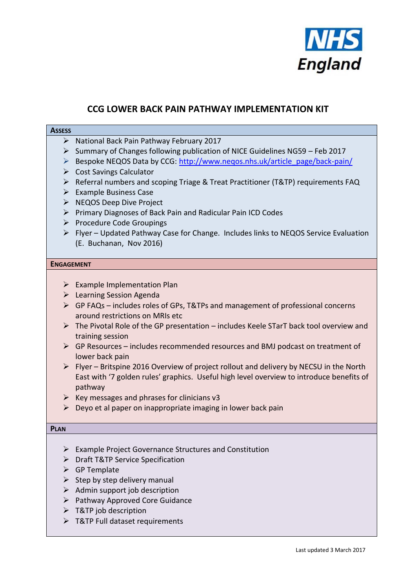

# **CCG LOWER BACK PAIN PATHWAY IMPLEMENTATION KIT**

### **ASSESS**

- $\triangleright$  National Back Pain Pathway February 2017
- $\triangleright$  Summary of Changes following publication of NICE Guidelines NG59 Feb 2017
- Bespoke NEQOS Data by CCG: http://www.negos.nhs.uk/article\_page/back-pain/
- $\triangleright$  Cost Savings Calculator
- ▶ Referral numbers and scoping Triage & Treat Practitioner (T&TP) requirements FAQ
- $\triangleright$  Example Business Case
- > NEQOS Deep Dive Project
- $\triangleright$  Primary Diagnoses of Back Pain and Radicular Pain ICD Codes
- $\triangleright$  Procedure Code Groupings
- $\triangleright$  Flyer Updated Pathway Case for Change. Includes links to NEQOS Service Evaluation (E. Buchanan, Nov 2016)

#### **ENGAGEMENT**

- $\triangleright$  Example Implementation Plan
- **EXECUTE:** Learning Session Agenda
- $\triangleright$  GP FAQs includes roles of GPs, T&TPs and management of professional concerns around restrictions on MRIs etc
- $\triangleright$  The Pivotal Role of the GP presentation includes Keele STarT back tool overview and training session
- $\triangleright$  GP Resources includes recommended resources and BMJ podcast on treatment of lower back pain
- $\triangleright$  Flyer Britspine 2016 Overview of project rollout and delivery by NECSU in the North East with '7 golden rules' graphics. Useful high level overview to introduce benefits of pathway
- $\triangleright$  Key messages and phrases for clinicians v3
- $\triangleright$  Deyo et al paper on inappropriate imaging in lower back pain

#### **PLAN**

- Example Project Governance Structures and Constitution
- > Draft T&TP Service Specification
- $\triangleright$  GP Template
- $\triangleright$  Step by step delivery manual
- $\triangleright$  Admin support job description
- $\triangleright$  Pathway Approved Core Guidance
- $\triangleright$  T&TP job description
- T&TP Full dataset requirements